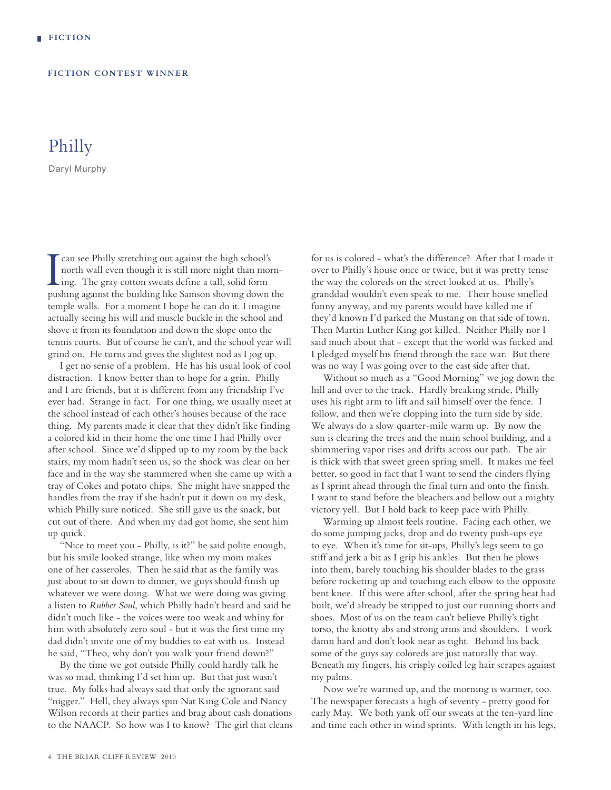## **FICTION CONTEST WINNER**

## Philly

Daryl Murphy

I can see Philly stretching out against the high school's<br>north wall even though it is still more night than mo<br>ing. The gray cotton sweats define a tall, solid form<br>nuching against the huilding like Samson shouing down can see Philly stretching out against the high school's north wall even though it is still more night than mornpushing against the building like Samson shoving down the temple walls. For a moment I hope he can do it. I imagine actually seeing his will and muscle buckle in the school and shove it from its foundation and down the slope onto the tennis courts. But of course he can't, and the school year will grind on. He turns and gives the slightest nod as I jog up.

I get no sense of a problem. He has his usual look of cool distraction. I know better than to hope for a grin. Philly and I are friends, but it is different from any friendship I've ever had. Strange in fact. For one thing, we usually meet at the school instead of each other's houses because of the race thing. My parents made it clear that they didn't like finding a colored kid in their home the one time I had Philly over after school. Since we'd slipped up to my room by the back stairs, my mom hadn't seen us, so the shock was clear on her face and in the way she stammered when she came up with a tray of Cokes and potato chips. She might have snapped the handles from the tray if she hadn't put it down on my desk, which Philly sure noticed. She still gave us the snack, but cut out of there. And when my dad got home, she sent him up quick.

"Nice to meet you - Philly, is it?" he said polite enough, but his smile looked strange, like when my mom makes one of her casseroles. Then he said that as the family was just about to sit down to dinner, we guys should finish up whatever we were doing. What we were doing was giving a listen to *Rubber Soul*, which Philly hadn't heard and said he didn't much like - the voices were too weak and whiny for him with absolutely zero soul - but it was the first time my dad didn't invite one of my buddies to eat with us. Instead he said, "Theo, why don't you walk your friend down?"

By the time we got outside Philly could hardly talk he was so mad, thinking I'd set him up. But that just wasn't true. My folks had always said that only the ignorant said "nigger." Hell, they always spin Nat King Cole and Nancy Wilson records at their parties and brag about cash donations to the NAACP. So how was I to know? The girl that cleans for us is colored - what's the difference? After that I made it over to Philly's house once or twice, but it was pretty tense the way the coloreds on the street looked at us. Philly's granddad wouldn't even speak to me. Their house smelled funny anyway, and my parents would have killed me if they'd known I'd parked the Mustang on that side of town. Then Martin Luther King got killed. Neither Philly nor I said much about that - except that the world was fucked and I pledged myself his friend through the race war. But there was no way I was going over to the east side after that.

Without so much as a "Good Morning" we jog down the hill and over to the track. Hardly breaking stride, Philly uses his right arm to lift and sail himself over the fence. I follow, and then we're clopping into the turn side by side. We always do a slow quarter-mile warm up. By now the sun is clearing the trees and the main school building, and a shimmering vapor rises and drifts across our path. The air is thick with that sweet green spring smell. It makes me feel better, so good in fact that I want to send the cinders flying as I sprint ahead through the final turn and onto the finish. I want to stand before the bleachers and bellow out a mighty victory yell. But I hold back to keep pace with Philly.

Warming up almost feels routine. Facing each other, we do some jumping jacks, drop and do twenty push-ups eye to eye. When it's time for sit-ups, Philly's legs seem to go stiff and jerk a bit as I grip his ankles. But then he plows into them, barely touching his shoulder blades to the grass before rocketing up and touching each elbow to the opposite bent knee. If this were after school, after the spring heat had built, we'd already be stripped to just our running shorts and shoes. Most of us on the team can't believe Philly's tight torso, the knotty abs and strong arms and shoulders. I work damn hard and don't look near as tight. Behind his back some of the guys say coloreds are just naturally that way. Beneath my fingers, his crisply coiled leg hair scrapes against my palms.

Now we're warmed up, and the morning is warmer, too. The newspaper forecasts a high of seventy - pretty good for early May. We both yank off our sweats at the ten-yard line and time each other in wind sprints. With length in his legs,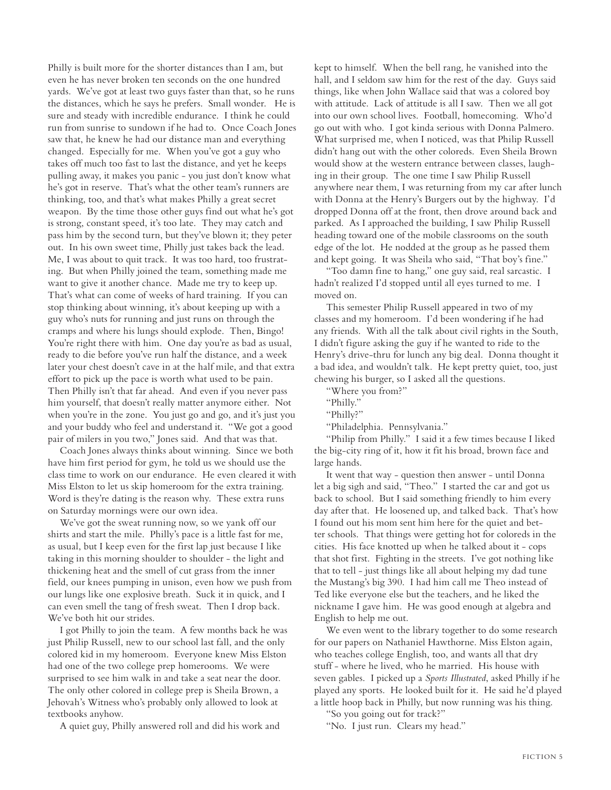Philly is built more for the shorter distances than I am, but even he has never broken ten seconds on the one hundred yards. We've got at least two guys faster than that, so he runs the distances, which he says he prefers. Small wonder. He is sure and steady with incredible endurance. I think he could run from sunrise to sundown if he had to. Once Coach Jones saw that, he knew he had our distance man and everything changed. Especially for me. When you've got a guy who takes off much too fast to last the distance, and yet he keeps pulling away, it makes you panic - you just don't know what he's got in reserve. That's what the other team's runners are thinking, too, and that's what makes Philly a great secret weapon. By the time those other guys find out what he's got is strong, constant speed, it's too late. They may catch and pass him by the second turn, but they've blown it; they peter out. In his own sweet time, Philly just takes back the lead. Me, I was about to quit track. It was too hard, too frustrating. But when Philly joined the team, something made me want to give it another chance. Made me try to keep up. That's what can come of weeks of hard training. If you can stop thinking about winning, it's about keeping up with a guy who's nuts for running and just runs on through the cramps and where his lungs should explode. Then, Bingo! You're right there with him. One day you're as bad as usual, ready to die before you've run half the distance, and a week later your chest doesn't cave in at the half mile, and that extra effort to pick up the pace is worth what used to be pain. Then Philly isn't that far ahead. And even if you never pass him yourself, that doesn't really matter anymore either. Not when you're in the zone. You just go and go, and it's just you and your buddy who feel and understand it. "We got a good pair of milers in you two," Jones said. And that was that.

Coach Jones always thinks about winning. Since we both have him first period for gym, he told us we should use the class time to work on our endurance. He even cleared it with Miss Elston to let us skip homeroom for the extra training. Word is they're dating is the reason why. These extra runs on Saturday mornings were our own idea.

We've got the sweat running now, so we yank off our shirts and start the mile. Philly's pace is a little fast for me, as usual, but I keep even for the first lap just because I like taking in this morning shoulder to shoulder - the light and thickening heat and the smell of cut grass from the inner field, our knees pumping in unison, even how we push from our lungs like one explosive breath. Suck it in quick, and I can even smell the tang of fresh sweat. Then I drop back. We've both hit our strides.

I got Philly to join the team. A few months back he was just Philip Russell, new to our school last fall, and the only colored kid in my homeroom. Everyone knew Miss Elston had one of the two college prep homerooms. We were surprised to see him walk in and take a seat near the door. The only other colored in college prep is Sheila Brown, a Jehovah's Witness who's probably only allowed to look at textbooks anyhow.

A quiet guy, Philly answered roll and did his work and

kept to himself. When the bell rang, he vanished into the hall, and I seldom saw him for the rest of the day. Guys said things, like when John Wallace said that was a colored boy with attitude. Lack of attitude is all I saw. Then we all got into our own school lives. Football, homecoming. Who'd go out with who. I got kinda serious with Donna Palmero. What surprised me, when I noticed, was that Philip Russell didn't hang out with the other coloreds. Even Sheila Brown would show at the western entrance between classes, laughing in their group. The one time I saw Philip Russell anywhere near them, I was returning from my car after lunch with Donna at the Henry's Burgers out by the highway. I'd dropped Donna off at the front, then drove around back and parked. As I approached the building, I saw Philip Russell heading toward one of the mobile classrooms on the south edge of the lot. He nodded at the group as he passed them and kept going. It was Sheila who said, "That boy's fine."

"Too damn fine to hang," one guy said, real sarcastic. I hadn't realized I'd stopped until all eyes turned to me. I moved on.

This semester Philip Russell appeared in two of my classes and my homeroom. I'd been wondering if he had any friends. With all the talk about civil rights in the South, I didn't figure asking the guy if he wanted to ride to the Henry's drive-thru for lunch any big deal. Donna thought it a bad idea, and wouldn't talk. He kept pretty quiet, too, just chewing his burger, so I asked all the questions.

"Where you from?"

"Philly?"

"Philip from Philly." I said it a few times because I liked the big-city ring of it, how it fit his broad, brown face and large hands.

It went that way - question then answer - until Donna let a big sigh and said, "Theo." I started the car and got us back to school. But I said something friendly to him every day after that. He loosened up, and talked back. That's how I found out his mom sent him here for the quiet and better schools. That things were getting hot for coloreds in the cities. His face knotted up when he talked about it - cops that shot first. Fighting in the streets. I've got nothing like that to tell - just things like all about helping my dad tune the Mustang's big 390. I had him call me Theo instead of Ted like everyone else but the teachers, and he liked the nickname I gave him. He was good enough at algebra and English to help me out.

We even went to the library together to do some research for our papers on Nathaniel Hawthorne. Miss Elston again, who teaches college English, too, and wants all that dry stuff - where he lived, who he married. His house with seven gables. I picked up a *Sports Illustrated*, asked Philly if he played any sports. He looked built for it. He said he'd played a little hoop back in Philly, but now running was his thing.

"So you going out for track?"

"No. I just run. Clears my head."

<sup>&</sup>quot;Philly."

<sup>&</sup>quot;Philadelphia. Pennsylvania."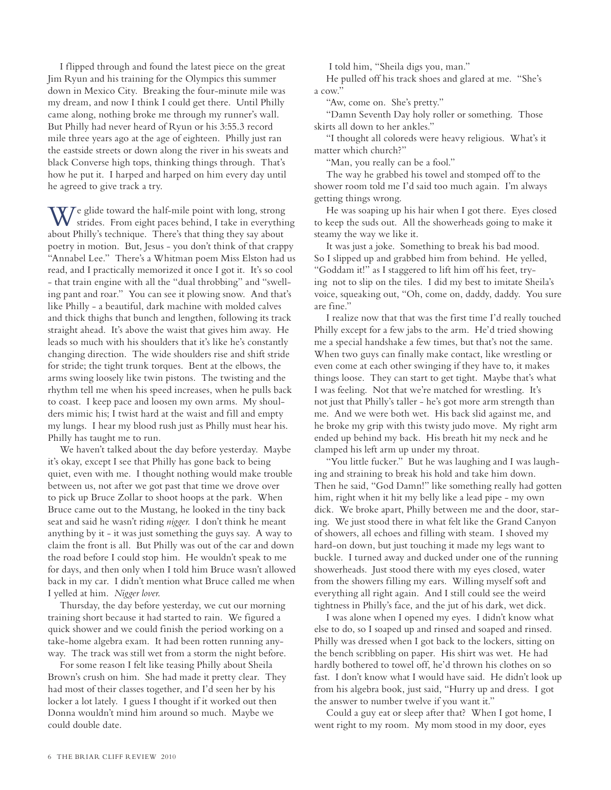I flipped through and found the latest piece on the great Jim Ryun and his training for the Olympics this summer down in Mexico City. Breaking the four-minute mile was my dream, and now I think I could get there. Until Philly came along, nothing broke me through my runner's wall. But Philly had never heard of Ryun or his 3:55.3 record mile three years ago at the age of eighteen. Philly just ran the eastside streets or down along the river in his sweats and black Converse high tops, thinking things through. That's how he put it. I harped and harped on him every day until he agreed to give track a try.

 $\sqrt{T}$ e glide toward the half-mile point with long, strong  $\bf{V}$  strides. From eight paces behind, I take in everything about Philly's technique. There's that thing they say about poetry in motion. But, Jesus - you don't think of that crappy "Annabel Lee." There's a Whitman poem Miss Elston had us read, and I practically memorized it once I got it. It's so cool - that train engine with all the "dual throbbing" and "swelling pant and roar." You can see it plowing snow. And that's like Philly - a beautiful, dark machine with molded calves and thick thighs that bunch and lengthen, following its track straight ahead. It's above the waist that gives him away. He leads so much with his shoulders that it's like he's constantly changing direction. The wide shoulders rise and shift stride for stride; the tight trunk torques. Bent at the elbows, the arms swing loosely like twin pistons. The twisting and the rhythm tell me when his speed increases, when he pulls back to coast. I keep pace and loosen my own arms. My shoulders mimic his; I twist hard at the waist and fill and empty my lungs. I hear my blood rush just as Philly must hear his. Philly has taught me to run.

We haven't talked about the day before yesterday. Maybe it's okay, except I see that Philly has gone back to being quiet, even with me. I thought nothing would make trouble between us, not after we got past that time we drove over to pick up Bruce Zollar to shoot hoops at the park. When Bruce came out to the Mustang, he looked in the tiny back seat and said he wasn't riding *nigger*. I don't think he meant anything by it - it was just something the guys say. A way to claim the front is all. But Philly was out of the car and down the road before I could stop him. He wouldn't speak to me for days, and then only when I told him Bruce wasn't allowed back in my car. I didn't mention what Bruce called me when I yelled at him. *Nigger lover*.

Thursday, the day before yesterday, we cut our morning training short because it had started to rain. We figured a quick shower and we could finish the period working on a take-home algebra exam. It had been rotten running anyway. The track was still wet from a storm the night before.

For some reason I felt like teasing Philly about Sheila Brown's crush on him. She had made it pretty clear. They had most of their classes together, and I'd seen her by his locker a lot lately. I guess I thought if it worked out then Donna wouldn't mind him around so much. Maybe we could double date.

I told him, "Sheila digs you, man."

He pulled off his track shoes and glared at me. "She's a cow."

"Aw, come on. She's pretty."

"Damn Seventh Day holy roller or something. Those skirts all down to her ankles."

"I thought all coloreds were heavy religious. What's it matter which church?"

"Man, you really can be a fool."

The way he grabbed his towel and stomped off to the shower room told me I'd said too much again. I'm always getting things wrong.

He was soaping up his hair when I got there. Eyes closed to keep the suds out. All the showerheads going to make it steamy the way we like it.

It was just a joke. Something to break his bad mood. So I slipped up and grabbed him from behind. He yelled, "Goddam it!" as I staggered to lift him off his feet, trying not to slip on the tiles. I did my best to imitate Sheila's voice, squeaking out, "Oh, come on, daddy, daddy. You sure are fine."

I realize now that that was the first time I'd really touched Philly except for a few jabs to the arm. He'd tried showing me a special handshake a few times, but that's not the same. When two guys can finally make contact, like wrestling or even come at each other swinging if they have to, it makes things loose. They can start to get tight. Maybe that's what I was feeling. Not that we're matched for wrestling. It's not just that Philly's taller - he's got more arm strength than me. And we were both wet. His back slid against me, and he broke my grip with this twisty judo move. My right arm ended up behind my back. His breath hit my neck and he clamped his left arm up under my throat.

"You little fucker." But he was laughing and I was laughing and straining to break his hold and take him down. Then he said, "God Damn!" like something really had gotten him, right when it hit my belly like a lead pipe - my own dick. We broke apart, Philly between me and the door, staring. We just stood there in what felt like the Grand Canyon of showers, all echoes and filling with steam. I shoved my hard-on down, but just touching it made my legs want to buckle. I turned away and ducked under one of the running showerheads. Just stood there with my eyes closed, water from the showers filling my ears. Willing myself soft and everything all right again. And I still could see the weird tightness in Philly's face, and the jut of his dark, wet dick.

I was alone when I opened my eyes. I didn't know what else to do, so I soaped up and rinsed and soaped and rinsed. Philly was dressed when I got back to the lockers, sitting on the bench scribbling on paper. His shirt was wet. He had hardly bothered to towel off, he'd thrown his clothes on so fast. I don't know what I would have said. He didn't look up from his algebra book, just said, "Hurry up and dress. I got the answer to number twelve if you want it."

Could a guy eat or sleep after that? When I got home, I went right to my room. My mom stood in my door, eyes